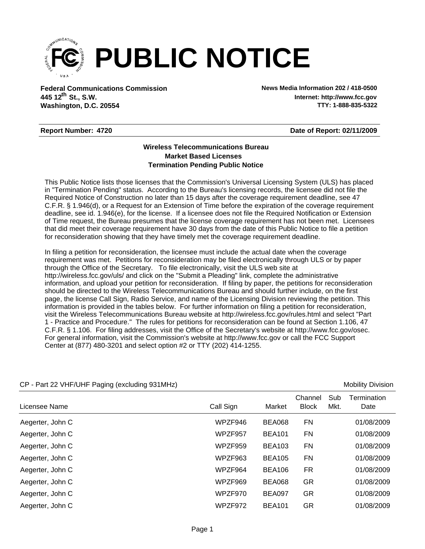

**Federal Communications Commission News Media Information 202 / 418-0500 Washington, D.C. 20554 th 445 12 St., S.W.**

**Internet: http://www.fcc.gov TTY: 1-888-835-5322**

## **Report Number: 4720**

**Date of Report: 02/11/2009**

## **Wireless Telecommunications Bureau Market Based Licenses Termination Pending Public Notice**

This Public Notice lists those licenses that the Commission's Universal Licensing System (ULS) has placed in "Termination Pending" status. According to the Bureau's licensing records, the licensee did not file the Required Notice of Construction no later than 15 days after the coverage requirement deadline, see 47 C.F.R. § 1.946(d), or a Request for an Extension of Time before the expiration of the coverage requirement deadline, see id. 1.946(e), for the license. If a licensee does not file the Required Notification or Extension of Time request, the Bureau presumes that the license coverage requirement has not been met. Licensees that did meet their coverage requirement have 30 days from the date of this Public Notice to file a petition for reconsideration showing that they have timely met the coverage requirement deadline.

In filing a petition for reconsideration, the licensee must include the actual date when the coverage requirement was met. Petitions for reconsideration may be filed electronically through ULS or by paper through the Office of the Secretary. To file electronically, visit the ULS web site at http://wireless.fcc.gov/uls/ and click on the "Submit a Pleading" link, complete the administrative information, and upload your petition for reconsideration. If filing by paper, the petitions for reconsideration should be directed to the Wireless Telecommunications Bureau and should further include, on the first page, the license Call Sign, Radio Service, and name of the Licensing Division reviewing the petition. This information is provided in the tables below. For further information on filing a petition for reconsideration, visit the Wireless Telecommunications Bureau website at http://wireless.fcc.gov/rules.html and select "Part 1 - Practice and Procedure." The rules for petitions for reconsideration can be found at Section 1.106, 47 C.F.R. § 1.106. For filing addresses, visit the Office of the Secretary's website at http://www.fcc.gov/osec. For general information, visit the Commission's website at http://www.fcc.gov or call the FCC Support Center at (877) 480-3201 and select option #2 or TTY (202) 414-1255.

| ັ<br>$\sim$ 1 and 22 Years 701 in a digiting (CACTO and 19 JOHN 112) |           |               |                         |             | <b>IVIUDIIILY DIVIOIUI</b> |
|----------------------------------------------------------------------|-----------|---------------|-------------------------|-------------|----------------------------|
| Licensee Name                                                        | Call Sign | Market        | Channel<br><b>Block</b> | Sub<br>Mkt. | Termination<br>Date        |
| Aegerter, John C                                                     | WPZF946   | <b>BEA068</b> | FN                      |             | 01/08/2009                 |
| Aegerter, John C                                                     | WPZF957   | <b>BEA101</b> | FN                      |             | 01/08/2009                 |
| Aegerter, John C                                                     | WPZF959   | <b>BEA103</b> | <b>FN</b>               |             | 01/08/2009                 |
| Aegerter, John C                                                     | WPZF963   | <b>BEA105</b> | <b>FN</b>               |             | 01/08/2009                 |
| Aegerter, John C                                                     | WPZF964   | <b>BEA106</b> | <b>FR</b>               |             | 01/08/2009                 |
| Aegerter, John C                                                     | WPZF969   | <b>BEA068</b> | GR                      |             | 01/08/2009                 |
| Aegerter, John C                                                     | WPZF970   | <b>BEA097</b> | <b>GR</b>               |             | 01/08/2009                 |
| Aegerter, John C                                                     | WPZF972   | <b>BEA101</b> | GR                      |             | 01/08/2009                 |

## CP - Part 22 VHF/LIHF Paging (excluding 931MHz) Mobility Division